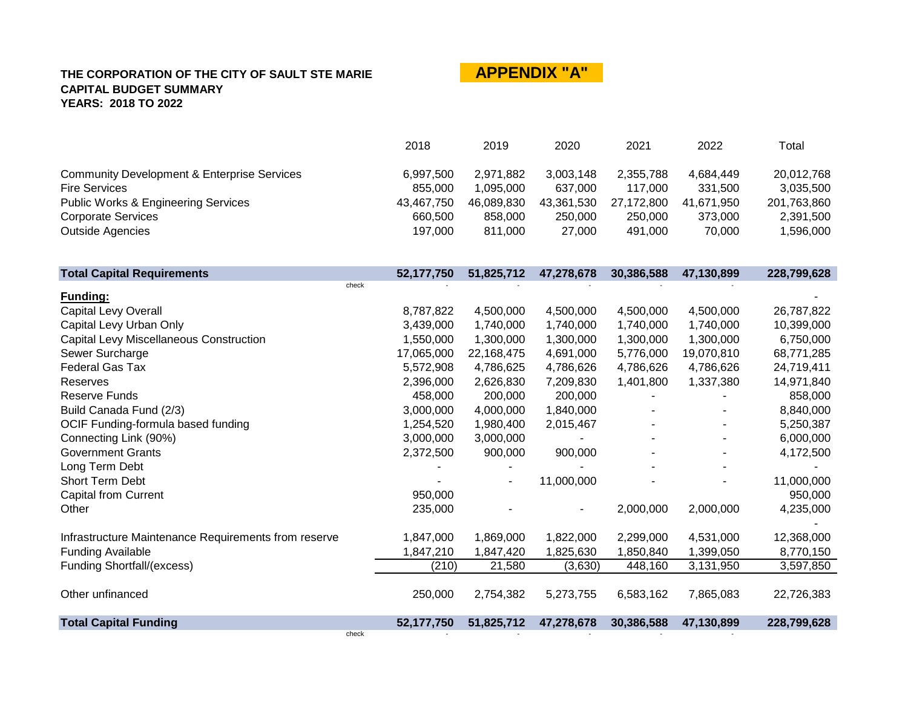# **APPENDIX "A"**

|                                                        | 2018       | 2019       | 2020       | 2021       | 2022       | Total       |
|--------------------------------------------------------|------------|------------|------------|------------|------------|-------------|
| <b>Community Development &amp; Enterprise Services</b> | 6,997,500  | 2,971,882  | 3,003,148  | 2,355,788  | 4,684,449  | 20,012,768  |
| <b>Fire Services</b>                                   | 855,000    | 1,095,000  | 637,000    | 117,000    | 331,500    | 3,035,500   |
| <b>Public Works &amp; Engineering Services</b>         | 43,467,750 | 46,089,830 | 43,361,530 | 27,172,800 | 41,671,950 | 201,763,860 |
| <b>Corporate Services</b>                              | 660,500    | 858,000    | 250,000    | 250,000    | 373,000    | 2,391,500   |
| <b>Outside Agencies</b>                                | 197,000    | 811,000    | 27,000     | 491,000    | 70,000     | 1,596,000   |
|                                                        |            |            |            |            |            |             |
| <b>Total Capital Requirements</b>                      | 52,177,750 | 51,825,712 | 47,278,678 | 30,386,588 | 47,130,899 | 228,799,628 |
| check                                                  |            |            |            |            |            |             |
| Funding:<br>Capital Levy Overall                       | 8,787,822  | 4,500,000  | 4,500,000  | 4,500,000  | 4,500,000  | 26,787,822  |
| Capital Levy Urban Only                                | 3,439,000  | 1,740,000  | 1,740,000  | 1,740,000  | 1,740,000  | 10,399,000  |
| Capital Levy Miscellaneous Construction                | 1,550,000  | 1,300,000  | 1,300,000  | 1,300,000  | 1,300,000  | 6,750,000   |
| Sewer Surcharge                                        | 17,065,000 | 22,168,475 | 4,691,000  | 5,776,000  | 19,070,810 | 68,771,285  |
| <b>Federal Gas Tax</b>                                 | 5,572,908  | 4,786,625  | 4,786,626  | 4,786,626  | 4,786,626  | 24,719,411  |
| Reserves                                               | 2,396,000  | 2,626,830  | 7,209,830  | 1,401,800  | 1,337,380  | 14,971,840  |
| <b>Reserve Funds</b>                                   | 458,000    | 200,000    | 200,000    |            |            | 858,000     |
| Build Canada Fund (2/3)                                | 3,000,000  | 4,000,000  | 1,840,000  |            |            | 8,840,000   |
| OCIF Funding-formula based funding                     | 1,254,520  | 1,980,400  | 2,015,467  |            |            | 5,250,387   |
| Connecting Link (90%)                                  | 3,000,000  | 3,000,000  |            |            |            | 6,000,000   |
| <b>Government Grants</b>                               | 2,372,500  | 900,000    | 900,000    |            |            | 4,172,500   |
| Long Term Debt                                         |            |            |            |            |            |             |
| Short Term Debt                                        |            |            | 11,000,000 |            |            | 11,000,000  |
| <b>Capital from Current</b>                            | 950,000    |            |            |            |            | 950,000     |
| Other                                                  | 235,000    |            |            | 2,000,000  | 2,000,000  | 4,235,000   |
| Infrastructure Maintenance Requirements from reserve   | 1,847,000  | 1,869,000  | 1,822,000  | 2,299,000  | 4,531,000  | 12,368,000  |
| <b>Funding Available</b>                               | 1,847,210  | 1,847,420  | 1,825,630  | 1,850,840  | 1,399,050  | 8,770,150   |
| <b>Funding Shortfall/(excess)</b>                      | (210)      | 21,580     | (3,630)    | 448,160    | 3,131,950  | 3,597,850   |
|                                                        |            |            |            |            |            |             |
| Other unfinanced                                       | 250,000    | 2,754,382  | 5,273,755  | 6,583,162  | 7,865,083  | 22,726,383  |
| <b>Total Capital Funding</b>                           | 52,177,750 | 51,825,712 | 47,278,678 | 30,386,588 | 47,130,899 | 228,799,628 |
| check                                                  |            |            |            |            |            |             |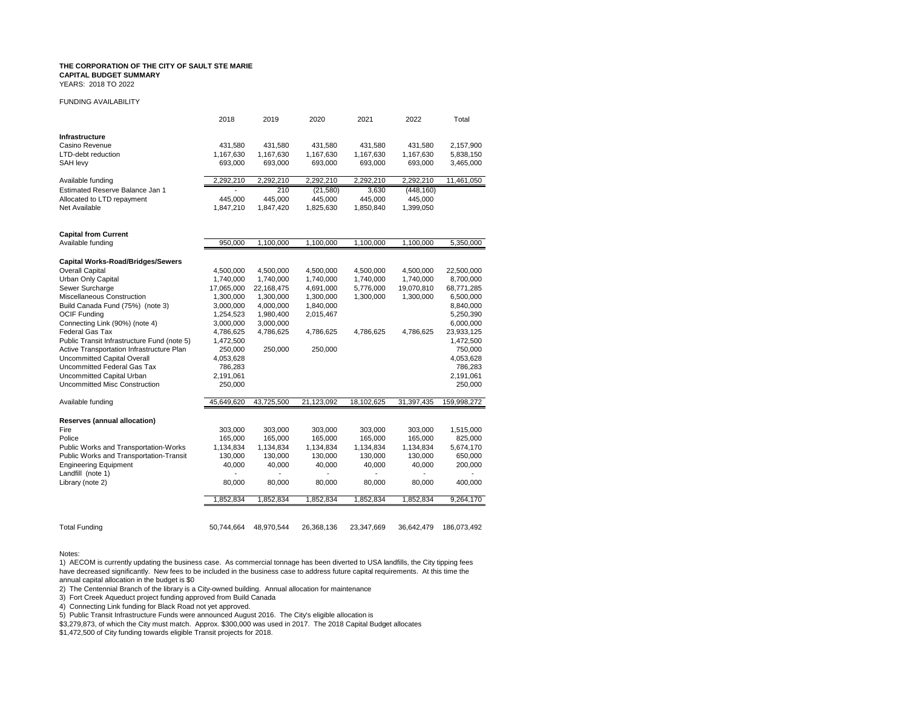YEARS: 2018 TO 2022

#### FUNDING AVAILABILITY

|                                             | 2018           | 2019           | 2020           | 2021           | 2022          | Total       |
|---------------------------------------------|----------------|----------------|----------------|----------------|---------------|-------------|
| Infrastructure                              |                |                |                |                |               |             |
| Casino Revenue                              | 431,580        | 431,580        | 431,580        | 431,580        | 431,580       | 2,157,900   |
| <b>LTD-debt reduction</b>                   | 1,167,630      | 1,167,630      | 1,167,630      | 1,167,630      | 1,167,630     | 5,838,150   |
| SAH levy                                    | 693,000        | 693,000        | 693,000        | 693,000        | 693,000       | 3,465,000   |
| Available funding                           | 2,292,210      | 2,292,210      | 2,292,210      | 2,292,210      | 2,292,210     | 11,461,050  |
| Estimated Reserve Balance Jan 1             |                | 210            | (21, 580)      | 3,630          | (448, 160)    |             |
| Allocated to LTD repayment                  | 445,000        | 445,000        | 445,000        | 445,000        | 445,000       |             |
| Net Available                               | 1,847,210      | 1,847,420      | 1,825,630      | 1,850,840      | 1,399,050     |             |
| <b>Capital from Current</b>                 |                |                |                |                |               |             |
| Available funding                           | 950,000        | 1,100,000      | 1,100,000      | 1,100,000      | 1,100,000     | 5,350,000   |
|                                             |                |                |                |                |               |             |
| <b>Capital Works-Road/Bridges/Sewers</b>    |                |                |                |                |               |             |
| <b>Overall Capital</b>                      | 4,500,000      | 4,500,000      | 4,500,000      | 4,500,000      | 4,500,000     | 22,500,000  |
| Urban Only Capital                          | 1,740,000      | 1,740,000      | 1,740,000      | 1,740,000      | 1,740,000     | 8,700,000   |
| Sewer Surcharge                             | 17,065,000     | 22,168,475     | 4,691,000      | 5,776,000      | 19,070,810    | 68,771,285  |
| Miscellaneous Construction                  | 1,300,000      | 1,300,000      | 1,300,000      | 1,300,000      | 1,300,000     | 6,500,000   |
| Build Canada Fund (75%) (note 3)            | 3,000,000      | 4,000,000      | 1,840,000      |                |               | 8,840,000   |
| <b>OCIF Funding</b>                         | 1,254,523      | 1,980,400      | 2,015,467      |                |               | 5,250,390   |
| Connecting Link (90%) (note 4)              | 3,000,000      | 3,000,000      |                |                |               | 6,000,000   |
| Federal Gas Tax                             | 4,786,625      | 4,786,625      | 4,786,625      | 4,786,625      | 4,786,625     | 23,933,125  |
| Public Transit Infrastructure Fund (note 5) | 1,472,500      |                |                |                |               | 1,472,500   |
| Active Transportation Infrastructure Plan   | 250,000        | 250,000        | 250,000        |                |               | 750,000     |
| <b>Uncommitted Capital Overall</b>          | 4,053,628      |                |                |                |               | 4,053,628   |
| Uncommitted Federal Gas Tax                 | 786,283        |                |                |                |               | 786,283     |
| Uncommitted Capital Urban                   | 2,191,061      |                |                |                |               | 2,191,061   |
| Uncommitted Misc Construction               | 250,000        |                |                |                |               | 250,000     |
| Available funding                           | 45,649,620     | 43,725,500     | 21,123,092     | 18,102,625     | 31,397,435    | 159,998,272 |
| Reserves (annual allocation)                |                |                |                |                |               |             |
| Fire                                        | 303,000        | 303,000        | 303,000        | 303,000        | 303,000       | 1,515,000   |
| Police                                      | 165,000        | 165,000        | 165,000        | 165,000        | 165,000       | 825,000     |
| Public Works and Transportation-Works       | 1,134,834      | 1,134,834      | 1,134,834      | 1,134,834      | 1,134,834     | 5,674,170   |
| Public Works and Transportation-Transit     | 130,000        | 130,000        | 130,000        | 130,000        | 130,000       | 650,000     |
| <b>Engineering Equipment</b>                | 40,000         | 40,000         | 40,000         | 40,000         | 40,000        | 200,000     |
| Landfill (note 1)                           | $\blacksquare$ | $\overline{a}$ | $\overline{a}$ | $\overline{a}$ | $\frac{1}{2}$ |             |
| Library (note 2)                            | 80,000         | 80,000         | 80,000         | 80,000         | 80,000        | 400,000     |
|                                             | 1,852,834      | 1,852,834      | 1,852,834      | 1,852,834      | 1,852,834     | 9,264,170   |
|                                             |                |                |                |                |               |             |
| <b>Total Funding</b>                        | 50,744,664     | 48,970,544     | 26,368,136     | 23,347,669     | 36,642,479    | 186,073,492 |

#### Notes:

1) AECOM is currently updating the business case. As commercial tonnage has been diverted to USA landfills, the City tipping fees have decreased significantly. New fees to be included in the business case to address future capital requirements. At this time the annual capital allocation in the budget is \$0

2) The Centennial Branch of the library is a City-owned building. Annual allocation for maintenance

3) Fort Creek Aqueduct project funding approved from Build Canada

4) Connecting Link funding for Black Road not yet approved.

5) Public Transit Infrastructure Funds were announced August 2016. The City's eligible allocation is

\$3,279,873, of which the City must match. Approx. \$300,000 was used in 2017. The 2018 Capital Budget allocates

\$1,472,500 of City funding towards eligible Transit projects for 2018.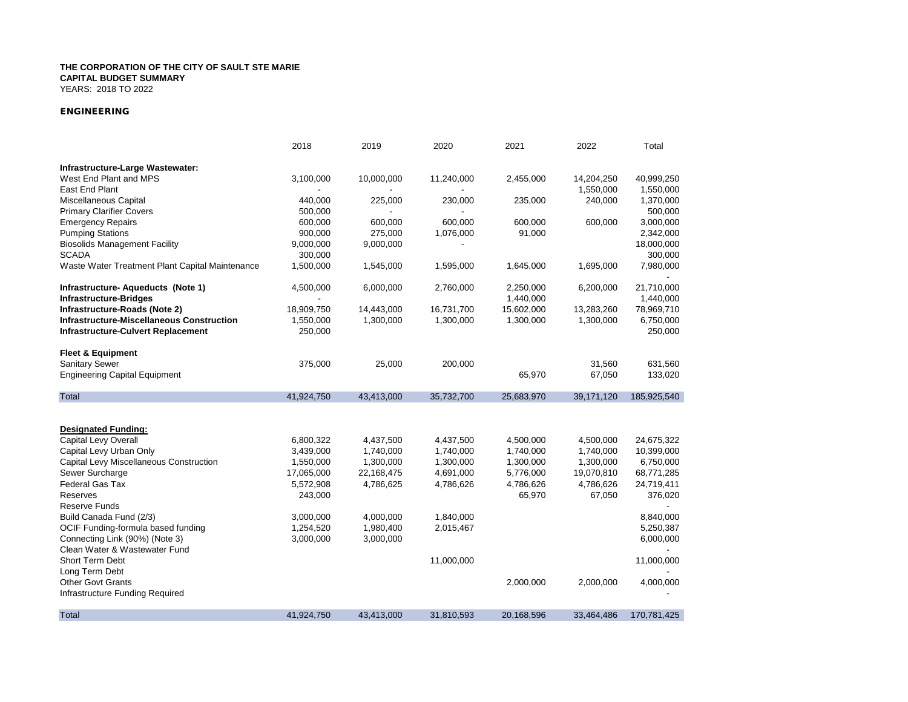YEARS: 2018 TO 2022

### *ENGINEERING*

|                                                  | 2018                     | 2019       | 2020       | 2021       | 2022       | Total       |
|--------------------------------------------------|--------------------------|------------|------------|------------|------------|-------------|
| Infrastructure-Large Wastewater:                 |                          |            |            |            |            |             |
| West End Plant and MPS                           | 3,100,000                | 10,000,000 | 11,240,000 | 2,455,000  | 14,204,250 | 40,999,250  |
| East End Plant                                   |                          |            |            |            | 1,550,000  | 1,550,000   |
| Miscellaneous Capital                            | 440,000                  | 225,000    | 230,000    | 235,000    | 240,000    | 1,370,000   |
| <b>Primary Clarifier Covers</b>                  | 500,000                  |            |            |            |            | 500,000     |
| <b>Emergency Repairs</b>                         | 600,000                  | 600,000    | 600,000    | 600,000    | 600,000    | 3,000,000   |
| <b>Pumping Stations</b>                          | 900,000                  | 275,000    | 1,076,000  | 91,000     |            | 2,342,000   |
| <b>Biosolids Management Facility</b>             | 9,000,000                | 9,000,000  |            |            |            | 18,000,000  |
| <b>SCADA</b>                                     | 300,000                  |            |            |            |            | 300,000     |
| Waste Water Treatment Plant Capital Maintenance  | 1,500,000                | 1,545,000  | 1,595,000  | 1,645,000  | 1,695,000  | 7,980,000   |
| Infrastructure-Aqueducts (Note 1)                | 4,500,000                | 6,000,000  | 2,760,000  | 2,250,000  | 6,200,000  | 21,710,000  |
| <b>Infrastructure-Bridges</b>                    | $\overline{\phantom{a}}$ |            |            | 1,440,000  |            | 1,440,000   |
| Infrastructure-Roads (Note 2)                    | 18,909,750               | 14,443,000 | 16,731,700 | 15,602,000 | 13,283,260 | 78,969,710  |
| <b>Infrastructure-Miscellaneous Construction</b> | 1,550,000                | 1,300,000  | 1,300,000  | 1,300,000  | 1,300,000  | 6,750,000   |
| <b>Infrastructure-Culvert Replacement</b>        | 250,000                  |            |            |            |            | 250,000     |
| <b>Fleet &amp; Equipment</b>                     |                          |            |            |            |            |             |
| <b>Sanitary Sewer</b>                            | 375,000                  | 25,000     | 200,000    |            | 31,560     | 631,560     |
| <b>Engineering Capital Equipment</b>             |                          |            |            | 65,970     | 67,050     | 133,020     |
| Total                                            | 41,924,750               | 43,413,000 | 35,732,700 | 25,683,970 | 39,171,120 | 185,925,540 |
|                                                  |                          |            |            |            |            |             |
| <b>Designated Funding:</b>                       |                          |            |            |            |            |             |
| Capital Levy Overall                             | 6,800,322                | 4,437,500  | 4,437,500  | 4,500,000  | 4,500,000  | 24,675,322  |
| Capital Levy Urban Only                          | 3,439,000                | 1,740,000  | 1,740,000  | 1,740,000  | 1,740,000  | 10,399,000  |
| Capital Levy Miscellaneous Construction          | 1,550,000                | 1,300,000  | 1,300,000  | 1,300,000  | 1,300,000  | 6,750,000   |
| Sewer Surcharge                                  | 17,065,000               | 22,168,475 | 4,691,000  | 5,776,000  | 19,070,810 | 68,771,285  |
| <b>Federal Gas Tax</b>                           | 5,572,908                | 4,786,625  | 4,786,626  | 4,786,626  | 4,786,626  | 24,719,411  |
| <b>Reserves</b>                                  | 243,000                  |            |            | 65,970     | 67,050     | 376,020     |
| <b>Reserve Funds</b>                             |                          |            |            |            |            |             |
| Build Canada Fund (2/3)                          | 3,000,000                | 4,000,000  | 1,840,000  |            |            | 8,840,000   |
| OCIF Funding-formula based funding               | 1,254,520                | 1,980,400  | 2,015,467  |            |            | 5,250,387   |
| Connecting Link (90%) (Note 3)                   | 3,000,000                | 3,000,000  |            |            |            | 6,000,000   |
| Clean Water & Wastewater Fund                    |                          |            |            |            |            |             |
| <b>Short Term Debt</b>                           |                          |            | 11,000,000 |            |            | 11,000,000  |
| Long Term Debt                                   |                          |            |            |            |            |             |
| <b>Other Govt Grants</b>                         |                          |            |            | 2,000,000  | 2,000,000  | 4,000,000   |
| Infrastructure Funding Required                  |                          |            |            |            |            |             |
| Total                                            | 41,924,750               | 43,413,000 | 31,810,593 | 20,168,596 | 33,464,486 | 170,781,425 |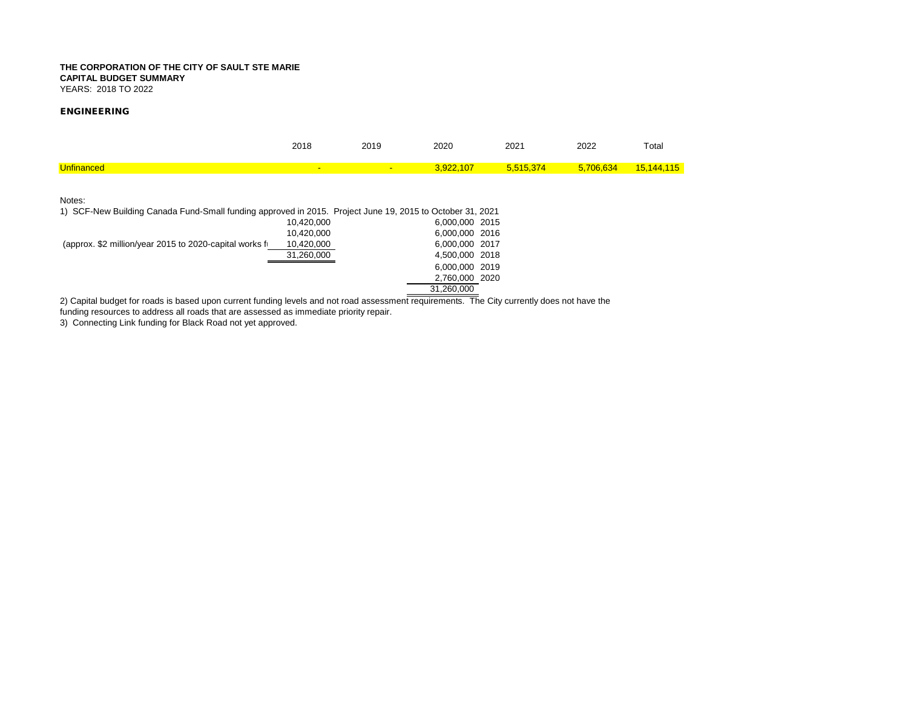YEARS: 2018 TO 2022

### *ENGINEERING*

|                                                                                                                                             | 2018       | 2019 | 2020           | 2021      | 2022      | Total      |
|---------------------------------------------------------------------------------------------------------------------------------------------|------------|------|----------------|-----------|-----------|------------|
| <b>Unfinanced</b>                                                                                                                           |            |      | 3.922.107      | 5,515,374 | 5.706.634 | 15,144,115 |
| Notes:                                                                                                                                      |            |      |                |           |           |            |
| 1) SCF-New Building Canada Fund-Small funding approved in 2015. Project June 19, 2015 to October 31, 2021                                   |            |      |                |           |           |            |
|                                                                                                                                             | 10.420.000 |      | 6.000.000 2015 |           |           |            |
|                                                                                                                                             | 10.420.000 |      | 6.000.000 2016 |           |           |            |
| (approx. \$2 million/year 2015 to 2020-capital works f                                                                                      | 10.420.000 |      | 6.000.000 2017 |           |           |            |
|                                                                                                                                             | 31,260,000 |      | 4,500,000 2018 |           |           |            |
|                                                                                                                                             |            |      | 6.000.000 2019 |           |           |            |
|                                                                                                                                             |            |      | 2,760,000 2020 |           |           |            |
|                                                                                                                                             |            |      | 31.260.000     |           |           |            |
|                                                                                                                                             |            |      |                |           |           |            |
| 2) Capital budget for roads is based upon current funding levels and not road assessment requirements. The City currently does not have the |            |      |                |           |           |            |

funding resources to address all roads that are assessed as immediate priority repair.

3) Connecting Link funding for Black Road not yet approved.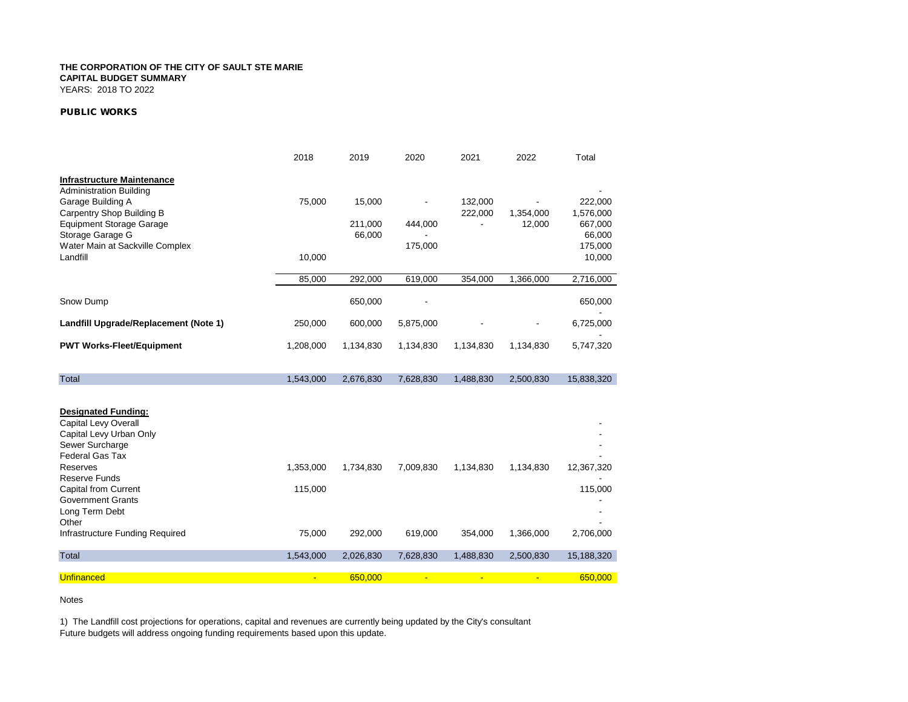YEARS: 2018 TO 2022

### *PUBLIC WORKS*

|                                                         | 2018      | 2019      | 2020      | 2021               | 2022      | Total                |
|---------------------------------------------------------|-----------|-----------|-----------|--------------------|-----------|----------------------|
| <b>Infrastructure Maintenance</b>                       |           |           |           |                    |           |                      |
| <b>Administration Building</b>                          |           |           |           |                    |           |                      |
| Garage Building A<br><b>Carpentry Shop Building B</b>   | 75,000    | 15,000    |           | 132,000<br>222,000 | 1,354,000 | 222,000<br>1,576,000 |
| <b>Equipment Storage Garage</b>                         |           | 211,000   | 444.000   | ٠                  | 12,000    | 667,000              |
| Storage Garage G                                        |           | 66,000    |           |                    |           | 66,000               |
| Water Main at Sackville Complex                         |           |           | 175,000   |                    |           | 175,000              |
| Landfill                                                | 10,000    |           |           |                    |           | 10,000               |
|                                                         | 85,000    | 292,000   | 619,000   | 354,000            | 1,366,000 | 2,716,000            |
| Snow Dump                                               |           | 650,000   |           |                    |           | 650,000              |
| Landfill Upgrade/Replacement (Note 1)                   | 250,000   | 600,000   | 5,875,000 |                    |           | 6,725,000            |
| <b>PWT Works-Fleet/Equipment</b>                        | 1,208,000 | 1,134,830 | 1,134,830 | 1,134,830          | 1,134,830 | 5,747,320            |
|                                                         |           |           |           |                    |           |                      |
| <b>Total</b>                                            | 1,543,000 | 2,676,830 | 7,628,830 | 1,488,830          | 2,500,830 | 15,838,320           |
|                                                         |           |           |           |                    |           |                      |
| <b>Designated Funding:</b>                              |           |           |           |                    |           |                      |
| <b>Capital Levy Overall</b><br>Capital Levy Urban Only  |           |           |           |                    |           |                      |
| Sewer Surcharge                                         |           |           |           |                    |           |                      |
| Federal Gas Tax                                         |           |           |           |                    |           |                      |
| Reserves                                                | 1,353,000 | 1,734,830 | 7,009,830 | 1,134,830          | 1,134,830 | 12,367,320           |
| <b>Reserve Funds</b>                                    |           |           |           |                    |           |                      |
| <b>Capital from Current</b><br><b>Government Grants</b> | 115,000   |           |           |                    |           | 115,000              |
| Long Term Debt                                          |           |           |           |                    |           |                      |
| Other                                                   |           |           |           |                    |           |                      |
| Infrastructure Funding Required                         | 75,000    | 292,000   | 619,000   | 354,000            | 1,366,000 | 2,706,000            |
| Total                                                   | 1,543,000 | 2,026,830 | 7,628,830 | 1,488,830          | 2,500,830 | 15,188,320           |
| <b>Unfinanced</b>                                       | ÷         | 650,000   | ÷.        |                    |           | 650,000              |

Notes

1) The Landfill cost projections for operations, capital and revenues are currently being updated by the City's consultant Future budgets will address ongoing funding requirements based upon this update.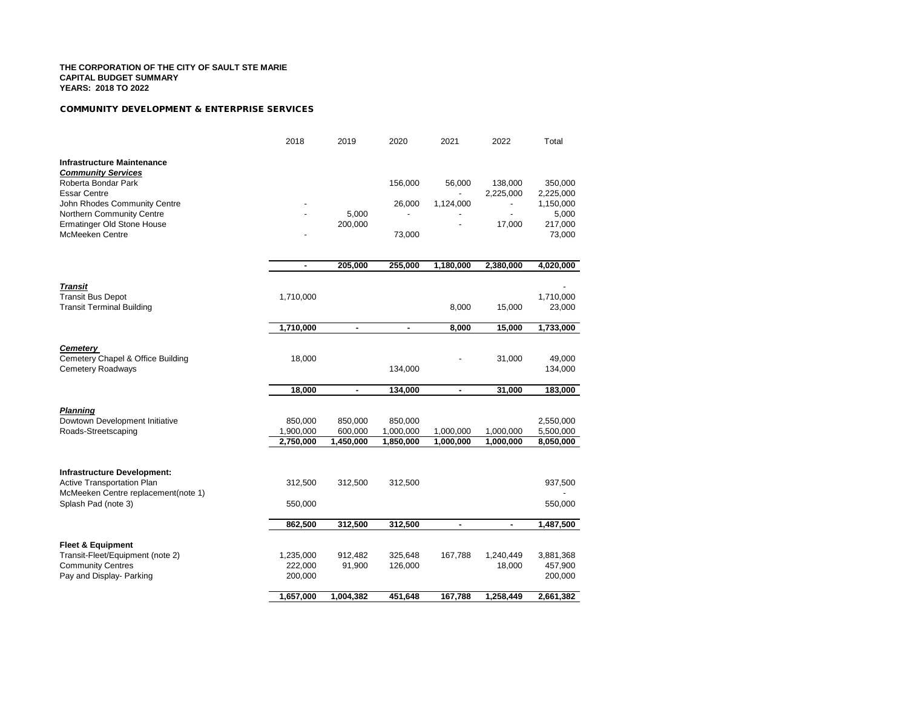#### *COMMUNITY DEVELOPMENT & ENTERPRISE SERVICES*

|                                                                  | 2018                   | 2019                 | 2020                   | 2021                   | 2022                   | Total                  |
|------------------------------------------------------------------|------------------------|----------------------|------------------------|------------------------|------------------------|------------------------|
| <b>Infrastructure Maintenance</b><br><b>Community Services</b>   |                        |                      |                        |                        |                        |                        |
| Roberta Bondar Park<br><b>Essar Centre</b>                       |                        |                      | 156,000                | 56,000                 | 138,000<br>2,225,000   | 350,000<br>2,225,000   |
| John Rhodes Community Centre                                     |                        |                      | 26,000                 | 1,124,000              |                        | 1,150,000              |
| Northern Community Centre                                        |                        | 5,000                |                        |                        | $\blacksquare$         | 5,000                  |
| <b>Ermatinger Old Stone House</b>                                |                        | 200,000              |                        |                        | 17,000                 | 217,000                |
| <b>McMeeken Centre</b>                                           |                        |                      | 73,000                 |                        |                        | 73,000                 |
|                                                                  | ٠                      | 205,000              | 255,000                | 1,180,000              | 2,380,000              | 4,020,000              |
| <b>Transit</b>                                                   |                        |                      |                        |                        |                        |                        |
| <b>Transit Bus Depot</b>                                         | 1,710,000              |                      |                        |                        |                        | 1,710,000              |
| <b>Transit Terminal Building</b>                                 |                        |                      |                        | 8,000                  | 15,000                 | 23,000                 |
|                                                                  | 1,710,000              | $\blacksquare$       | $\blacksquare$         | 8,000                  | 15,000                 | 1,733,000              |
|                                                                  |                        |                      |                        |                        |                        |                        |
| <b>Cemetery</b>                                                  |                        |                      |                        |                        |                        |                        |
| Cemetery Chapel & Office Building<br>Cemetery Roadways           | 18,000                 |                      | 134,000                |                        | 31,000                 | 49,000<br>134,000      |
|                                                                  |                        |                      |                        |                        |                        |                        |
|                                                                  | 18,000                 | $\blacksquare$       | 134,000                | $\blacksquare$         | 31,000                 | 183,000                |
|                                                                  |                        |                      |                        |                        |                        |                        |
| <b>Planning</b>                                                  |                        |                      |                        |                        |                        |                        |
| Dowtown Development Initiative                                   | 850,000                | 850,000              | 850,000                |                        |                        | 2,550,000              |
| Roads-Streetscaping                                              | 1,900,000<br>2,750,000 | 600,000<br>1,450,000 | 1,000,000<br>1,850,000 | 1,000,000<br>1,000,000 | 1,000,000<br>1,000,000 | 5,500,000<br>8,050,000 |
|                                                                  |                        |                      |                        |                        |                        |                        |
|                                                                  |                        |                      |                        |                        |                        |                        |
| <b>Infrastructure Development:</b><br>Active Transportation Plan | 312,500                | 312,500              | 312,500                |                        |                        | 937,500                |
| McMeeken Centre replacement(note 1)                              |                        |                      |                        |                        |                        |                        |
| Splash Pad (note 3)                                              | 550,000                |                      |                        |                        |                        | 550,000                |
|                                                                  |                        |                      |                        |                        |                        |                        |
|                                                                  | 862,500                | 312,500              | 312,500                | ٠                      | ٠                      | 1,487,500              |
| <b>Fleet &amp; Equipment</b>                                     |                        |                      |                        |                        |                        |                        |
| Transit-Fleet/Equipment (note 2)                                 | 1,235,000              | 912,482              | 325,648                | 167,788                | 1,240,449              | 3,881,368              |
| <b>Community Centres</b>                                         | 222,000                | 91,900               | 126,000                |                        | 18,000                 | 457,900                |
| Pay and Display- Parking                                         | 200,000                |                      |                        |                        |                        | 200,000                |
|                                                                  |                        |                      |                        |                        |                        |                        |
|                                                                  | 1,657,000              | 1,004,382            | 451,648                | 167,788                | 1,258,449              | 2,661,382              |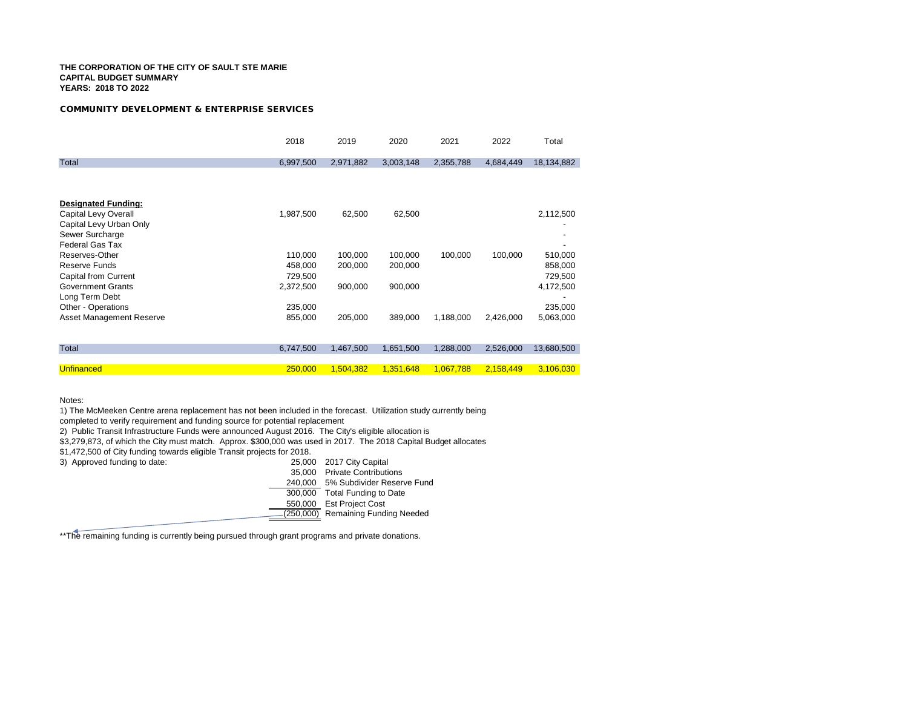#### *COMMUNITY DEVELOPMENT & ENTERPRISE SERVICES*

|                            | 2018      | 2019      | 2020      | 2021      | 2022      | Total      |
|----------------------------|-----------|-----------|-----------|-----------|-----------|------------|
| Total                      | 6,997,500 | 2,971,882 | 3,003,148 | 2,355,788 | 4,684,449 | 18,134,882 |
|                            |           |           |           |           |           |            |
| <b>Designated Funding:</b> |           |           |           |           |           |            |
| Capital Levy Overall       | 1,987,500 | 62,500    | 62,500    |           |           | 2,112,500  |
| Capital Levy Urban Only    |           |           |           |           |           |            |
| Sewer Surcharge            |           |           |           |           |           |            |
| <b>Federal Gas Tax</b>     |           |           |           |           |           |            |
| Reserves-Other             | 110,000   | 100,000   | 100,000   | 100,000   | 100,000   | 510,000    |
| Reserve Funds              | 458,000   | 200,000   | 200,000   |           |           | 858,000    |
| Capital from Current       | 729,500   |           |           |           |           | 729,500    |
| <b>Government Grants</b>   | 2,372,500 | 900,000   | 900,000   |           |           | 4,172,500  |
| Long Term Debt             |           |           |           |           |           |            |
| Other - Operations         | 235,000   |           |           |           |           | 235,000    |
| Asset Management Reserve   | 855,000   | 205,000   | 389,000   | 1,188,000 | 2,426,000 | 5,063,000  |
|                            |           |           |           |           |           |            |
| Total                      | 6,747,500 | 1,467,500 | 1,651,500 | 1,288,000 | 2,526,000 | 13,680,500 |
|                            |           |           |           |           |           |            |
| <b>Unfinanced</b>          | 250,000   | 1,504,382 | 1,351,648 | 1,067,788 | 2,158,449 | 3,106,030  |

Notes:

1) The McMeeken Centre arena replacement has not been included in the forecast. Utilization study currently being

completed to verify requirement and funding source for potential replacement

2) Public Transit Infrastructure Funds were announced August 2016. The City's eligible allocation is

\$3,279,873, of which the City must match. Approx. \$300,000 was used in 2017. The 2018 Capital Budget allocates

\$1,472,500 of City funding towards eligible Transit projects for 2018.<br>3) Approved funding to date: 25,000 2017 City Capital

3) Approved funding to date:

- 
- 35,000 Private Contributions

240,000 5% Subdivider Reserve Fund

- 300,000 Total Funding to Date
- 550,000 Est Project Cost
- $-(250,000)$  Remaining Funding Needed

\*\* The remaining funding is currently being pursued through grant programs and private donations.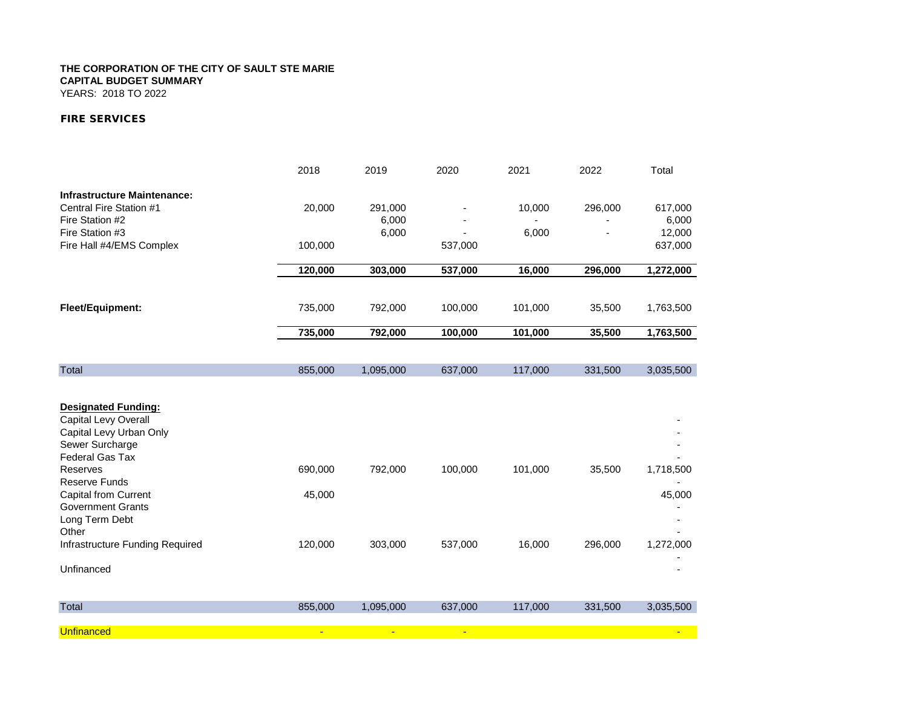YEARS: 2018 TO 2022

### *FIRE SERVICES*

|                                        | 2018    | 2019           | 2020    | 2021    | 2022    | Total     |
|----------------------------------------|---------|----------------|---------|---------|---------|-----------|
| <b>Infrastructure Maintenance:</b>     |         |                |         |         |         |           |
| Central Fire Station #1                | 20,000  | 291,000        |         | 10,000  | 296,000 | 617,000   |
| Fire Station #2                        |         | 6,000          |         |         |         | 6,000     |
| Fire Station #3                        |         | 6,000          |         | 6,000   |         | 12,000    |
| Fire Hall #4/EMS Complex               | 100,000 |                | 537,000 |         |         | 637,000   |
|                                        | 120,000 | 303,000        | 537,000 | 16,000  | 296,000 | 1,272,000 |
|                                        |         |                |         |         |         |           |
| Fleet/Equipment:                       | 735,000 | 792,000        | 100,000 | 101,000 | 35,500  | 1,763,500 |
|                                        | 735,000 | 792,000        | 100,000 | 101,000 | 35,500  | 1,763,500 |
|                                        |         |                |         |         |         |           |
| <b>Total</b>                           | 855,000 | 1,095,000      | 637,000 | 117,000 | 331,500 | 3,035,500 |
|                                        |         |                |         |         |         |           |
| <b>Designated Funding:</b>             |         |                |         |         |         |           |
| Capital Levy Overall                   |         |                |         |         |         |           |
| Capital Levy Urban Only                |         |                |         |         |         |           |
| Sewer Surcharge                        |         |                |         |         |         |           |
| Federal Gas Tax                        |         |                |         |         |         |           |
| <b>Reserves</b>                        | 690,000 | 792,000        | 100,000 | 101,000 | 35,500  | 1,718,500 |
| <b>Reserve Funds</b>                   |         |                |         |         |         |           |
| <b>Capital from Current</b>            | 45,000  |                |         |         |         | 45,000    |
| <b>Government Grants</b>               |         |                |         |         |         |           |
| Long Term Debt<br>Other                |         |                |         |         |         |           |
| <b>Infrastructure Funding Required</b> | 120,000 | 303,000        | 537,000 | 16,000  | 296,000 | 1,272,000 |
|                                        |         |                |         |         |         |           |
| Unfinanced                             |         |                |         |         |         |           |
|                                        |         |                |         |         |         |           |
| <b>Total</b>                           | 855,000 | 1,095,000      | 637,000 | 117,000 | 331,500 | 3,035,500 |
| <b>Unfinanced</b>                      |         | $\blacksquare$ | ÷       |         |         |           |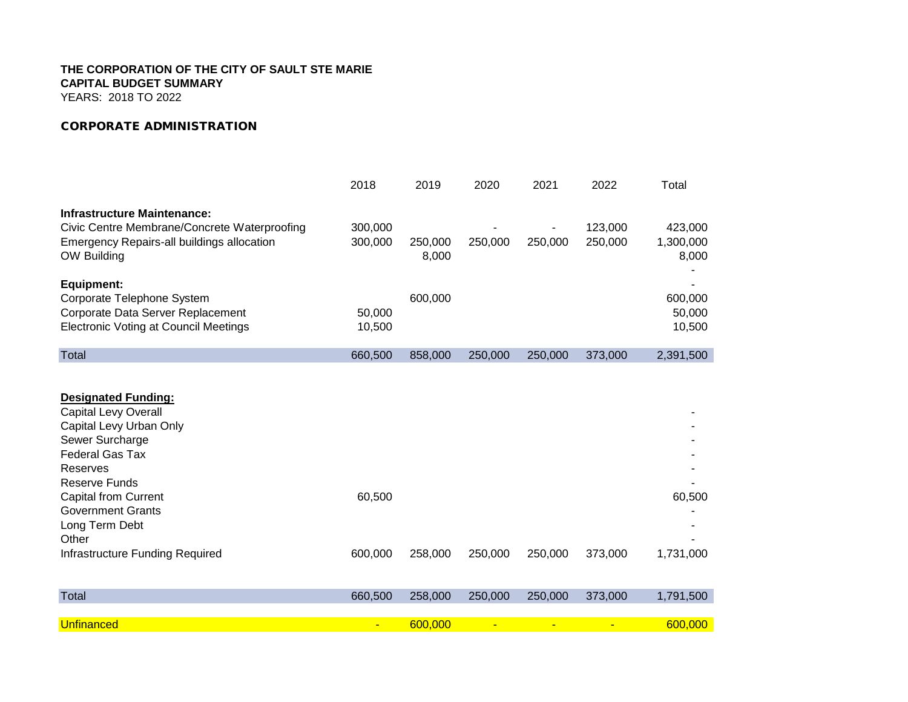YEARS: 2018 TO 2022

# *CORPORATE ADMINISTRATION*

|                                                   | 2018    | 2019    | 2020    | 2021    | 2022    | Total     |
|---------------------------------------------------|---------|---------|---------|---------|---------|-----------|
| <b>Infrastructure Maintenance:</b>                |         |         |         |         |         |           |
| Civic Centre Membrane/Concrete Waterproofing      | 300,000 |         |         |         | 123,000 | 423,000   |
| <b>Emergency Repairs-all buildings allocation</b> | 300,000 | 250,000 | 250,000 | 250,000 | 250,000 | 1,300,000 |
| OW Building                                       |         | 8,000   |         |         |         | 8,000     |
|                                                   |         |         |         |         |         |           |
| <b>Equipment:</b>                                 |         |         |         |         |         |           |
| Corporate Telephone System                        |         | 600,000 |         |         |         | 600,000   |
| Corporate Data Server Replacement                 | 50,000  |         |         |         |         | 50,000    |
| <b>Electronic Voting at Council Meetings</b>      | 10,500  |         |         |         |         | 10,500    |
| <b>Total</b>                                      | 660,500 | 858,000 | 250,000 | 250,000 | 373,000 | 2,391,500 |
|                                                   |         |         |         |         |         |           |
|                                                   |         |         |         |         |         |           |
| <b>Designated Funding:</b>                        |         |         |         |         |         |           |
| <b>Capital Levy Overall</b>                       |         |         |         |         |         |           |
| Capital Levy Urban Only                           |         |         |         |         |         |           |
| Sewer Surcharge                                   |         |         |         |         |         |           |
| <b>Federal Gas Tax</b>                            |         |         |         |         |         |           |
| Reserves                                          |         |         |         |         |         |           |
| <b>Reserve Funds</b>                              |         |         |         |         |         |           |
| <b>Capital from Current</b>                       | 60,500  |         |         |         |         | 60,500    |
| <b>Government Grants</b>                          |         |         |         |         |         |           |
| Long Term Debt                                    |         |         |         |         |         |           |
| Other                                             |         |         |         |         |         |           |
| Infrastructure Funding Required                   | 600,000 | 258,000 | 250,000 | 250,000 | 373,000 | 1,731,000 |
|                                                   |         |         |         |         |         |           |
| <b>Total</b>                                      | 660,500 | 258,000 | 250,000 | 250,000 | 373,000 | 1,791,500 |
|                                                   |         |         |         |         |         |           |
| <b>Unfinanced</b>                                 |         | 600,000 |         |         |         | 600,000   |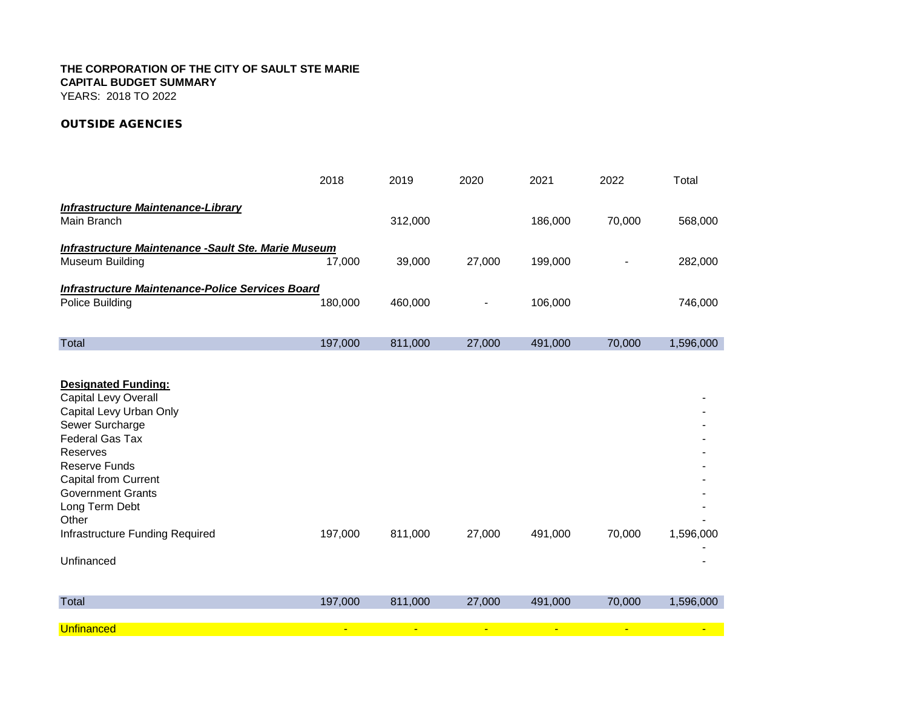# *OUTSIDE AGENCIES*

|                                                                                                                                                                                                                                                                                                | 2018    | 2019    | 2020   | 2021    | 2022   | Total     |
|------------------------------------------------------------------------------------------------------------------------------------------------------------------------------------------------------------------------------------------------------------------------------------------------|---------|---------|--------|---------|--------|-----------|
| <b>Infrastructure Maintenance-Library</b><br>Main Branch                                                                                                                                                                                                                                       |         | 312,000 |        | 186,000 | 70,000 | 568,000   |
| <b>Infrastructure Maintenance - Sault Ste. Marie Museum</b><br>Museum Building                                                                                                                                                                                                                 | 17,000  | 39,000  | 27,000 | 199,000 |        | 282,000   |
| Infrastructure Maintenance-Police Services Board<br>Police Building                                                                                                                                                                                                                            | 180,000 | 460,000 |        | 106,000 |        | 746,000   |
| <b>Total</b>                                                                                                                                                                                                                                                                                   | 197,000 | 811,000 | 27,000 | 491,000 | 70,000 | 1,596,000 |
| <b>Designated Funding:</b><br><b>Capital Levy Overall</b><br>Capital Levy Urban Only<br>Sewer Surcharge<br><b>Federal Gas Tax</b><br>Reserves<br><b>Reserve Funds</b><br><b>Capital from Current</b><br><b>Government Grants</b><br>Long Term Debt<br>Other<br>Infrastructure Funding Required | 197,000 | 811,000 | 27,000 | 491,000 | 70,000 | 1,596,000 |
| Unfinanced                                                                                                                                                                                                                                                                                     |         |         |        |         |        |           |
| <b>Total</b>                                                                                                                                                                                                                                                                                   | 197,000 | 811,000 | 27,000 | 491,000 | 70,000 | 1,596,000 |
| <b>Unfinanced</b>                                                                                                                                                                                                                                                                              |         |         |        |         |        |           |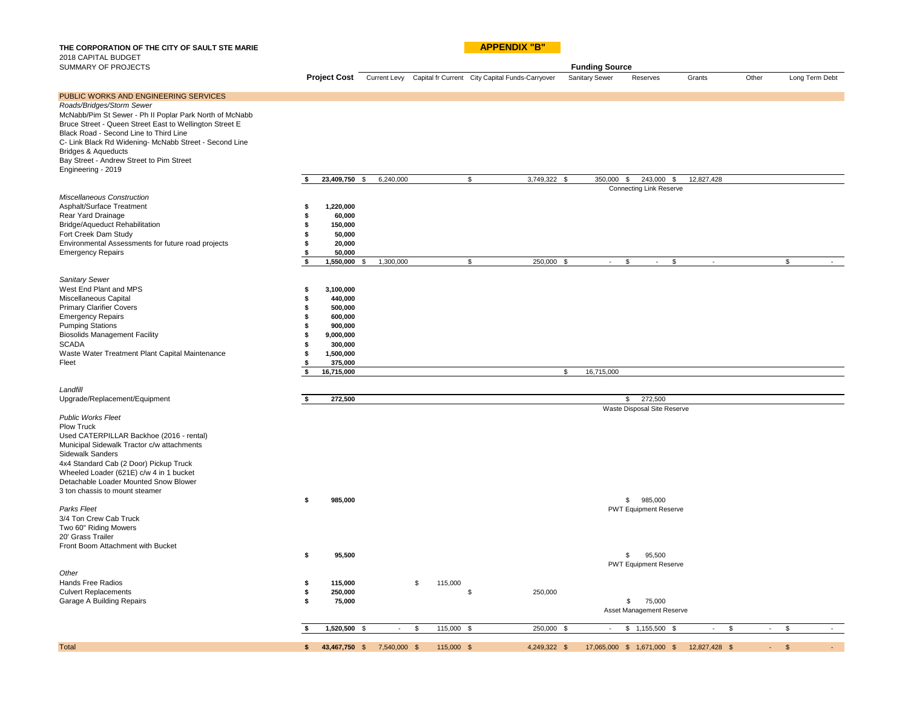THE CORPORATION OF THE CITY OF SAULT STE MARIE **APPENDIX "B"** 2018 CAPITAL BUDGET

| SUMMARY OF PROJECTS                                                                                                                                                                                                                                                                                                                                                                   |                                                                                                                                                                          |               |                  |                                                                           | <b>Funding Source</b> |                                                        |               |          |                |                     |
|---------------------------------------------------------------------------------------------------------------------------------------------------------------------------------------------------------------------------------------------------------------------------------------------------------------------------------------------------------------------------------------|--------------------------------------------------------------------------------------------------------------------------------------------------------------------------|---------------|------------------|---------------------------------------------------------------------------|-----------------------|--------------------------------------------------------|---------------|----------|----------------|---------------------|
|                                                                                                                                                                                                                                                                                                                                                                                       |                                                                                                                                                                          |               |                  | Project Cost Current Levy Capital fr Current City Capital Funds-Carryover | <b>Sanitary Sewer</b> | Reserves                                               | Grants        | Other    |                | Long Term Debt      |
| PUBLIC WORKS AND ENGINEERING SERVICES<br>Roads/Bridges/Storm Sewer<br>McNabb/Pim St Sewer - Ph II Poplar Park North of McNabb<br>Bruce Street - Queen Street East to Wellington Street E<br>Black Road - Second Line to Third Line<br>C- Link Black Rd Widening- McNabb Street - Second Line<br>Bridges & Aqueducts<br>Bay Street - Andrew Street to Pim Street<br>Engineering - 2019 |                                                                                                                                                                          |               |                  |                                                                           |                       |                                                        |               |          |                |                     |
|                                                                                                                                                                                                                                                                                                                                                                                       | \$<br>23,409,750 \$                                                                                                                                                      | 6,240,000     | \$               | 3,749,322 \$                                                              | 350,000 \$            | 243,000 \$                                             | 12,827,428    |          |                |                     |
| Miscellaneous Construction<br>Asphalt/Surface Treatment<br>Rear Yard Drainage<br>Bridge/Aqueduct Rehabilitation<br>Fort Creek Dam Study<br>Environmental Assessments for future road projects<br><b>Emergency Repairs</b>                                                                                                                                                             | 1,220,000<br>£.<br>60,000<br>\$<br>150,000<br>50,000<br>\$<br>20,000<br>\$<br>50,000<br>\$<br>\$<br>1,550,000 \$                                                         | 1,300,000     | \$               | 250,000 \$                                                                | $\omega$              | <b>Connecting Link Reserve</b><br>\$<br>$\mathfrak{L}$ | $\sim$        |          | S.             |                     |
|                                                                                                                                                                                                                                                                                                                                                                                       |                                                                                                                                                                          |               |                  |                                                                           |                       |                                                        |               |          |                |                     |
| Sanitary Sewer<br>West End Plant and MPS<br>Miscellaneous Capital<br><b>Primary Clarifier Covers</b><br><b>Emergency Repairs</b><br><b>Pumping Stations</b><br><b>Biosolids Management Facility</b><br><b>SCADA</b><br>Waste Water Treatment Plant Capital Maintenance<br>Fleet                                                                                                       | 3,100,000<br>s<br>440,000<br>\$<br>500,000<br>\$<br>600,000<br>£.<br>900,000<br>\$<br>9,000,000<br>\$<br>300,000<br>1,500,000<br>\$<br>375,000<br>\$<br>16,715,000<br>\$ |               |                  |                                                                           | 16,715,000<br>\$      |                                                        |               |          |                |                     |
|                                                                                                                                                                                                                                                                                                                                                                                       |                                                                                                                                                                          |               |                  |                                                                           |                       |                                                        |               |          |                |                     |
| Landfill                                                                                                                                                                                                                                                                                                                                                                              |                                                                                                                                                                          |               |                  |                                                                           |                       |                                                        |               |          |                |                     |
| Upgrade/Replacement/Equipment                                                                                                                                                                                                                                                                                                                                                         | 272,500                                                                                                                                                                  |               |                  |                                                                           |                       | 272,500<br>\$                                          |               |          |                |                     |
| <b>Public Works Fleet</b><br><b>Plow Truck</b><br>Used CATERPILLAR Backhoe (2016 - rental)<br>Municipal Sidewalk Tractor c/w attachments<br>Sidewalk Sanders<br>4x4 Standard Cab (2 Door) Pickup Truck<br>Wheeled Loader (621E) c/w 4 in 1 bucket<br>Detachable Loader Mounted Snow Blower<br>3 ton chassis to mount steamer                                                          |                                                                                                                                                                          |               |                  |                                                                           |                       | Waste Disposal Site Reserve                            |               |          |                |                     |
| Parks Fleet                                                                                                                                                                                                                                                                                                                                                                           | 985,000<br>\$                                                                                                                                                            |               |                  |                                                                           |                       | \$985,000<br><b>PWT Equipment Reserve</b>              |               |          |                |                     |
| 3/4 Ton Crew Cab Truck<br>Two 60" Riding Mowers<br>20' Grass Trailer<br>Front Boom Attachment with Bucket                                                                                                                                                                                                                                                                             | s<br>95,500                                                                                                                                                              |               |                  |                                                                           |                       | 95,500<br>$\mathbb{S}$                                 |               |          |                |                     |
|                                                                                                                                                                                                                                                                                                                                                                                       |                                                                                                                                                                          |               |                  |                                                                           |                       | <b>PWT Equipment Reserve</b>                           |               |          |                |                     |
| Other<br>Hands Free Radios                                                                                                                                                                                                                                                                                                                                                            | \$<br>115,000                                                                                                                                                            |               | \$<br>115,000    |                                                                           |                       |                                                        |               |          |                |                     |
| <b>Culvert Replacements</b>                                                                                                                                                                                                                                                                                                                                                           | 250,000<br>\$                                                                                                                                                            |               | \$               | 250,000                                                                   |                       |                                                        |               |          |                |                     |
| Garage A Building Repairs                                                                                                                                                                                                                                                                                                                                                             | 75,000<br>\$                                                                                                                                                             |               |                  |                                                                           |                       | \$<br>75,000<br>Asset Management Reserve               |               |          |                |                     |
|                                                                                                                                                                                                                                                                                                                                                                                       | 1,520,500 \$<br>\$                                                                                                                                                       | $\mathcal{L}$ | \$<br>115,000 \$ | 250,000 \$                                                                | $\sim$                | $$1,155,500$ \$                                        | $\sim$<br>\$  | $\omega$ | \$             |                     |
| <b>Total</b>                                                                                                                                                                                                                                                                                                                                                                          | 43,467,750 \$<br>\$                                                                                                                                                      | 7,540,000 \$  | 115,000 \$       | 4,249,322 \$                                                              |                       | 17,065,000 \$ 1,671,000 \$                             | 12,827,428 \$ | a.       | $\mathfrak{S}$ | $\omega_{\rm{eff}}$ |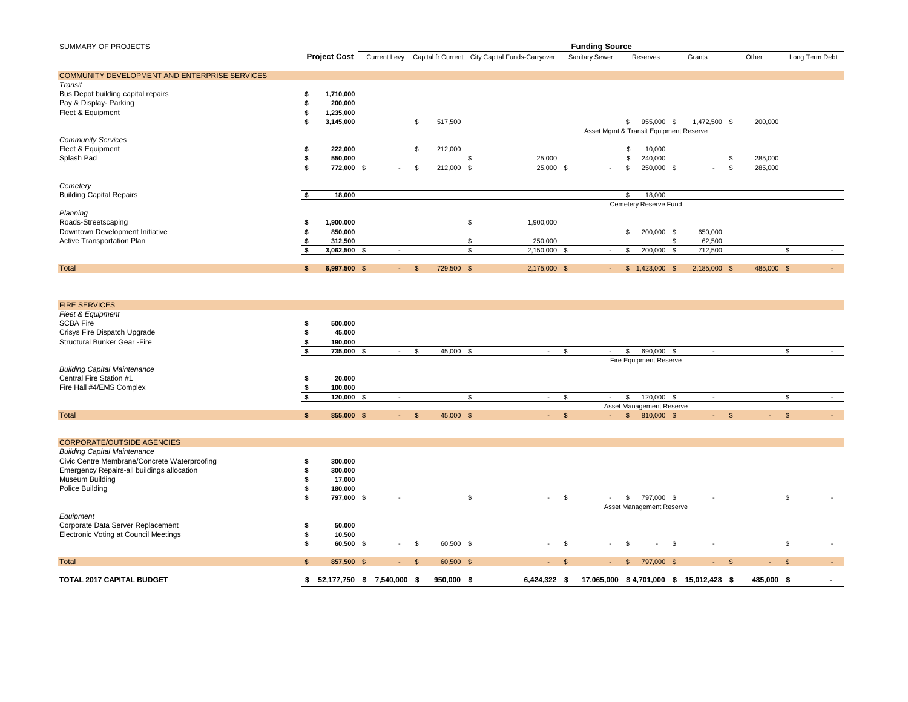| <b>SUMMARY OF PROJECTS</b>                    |     |                | <b>Funding Source</b> |            |              |            |                                                                           |                |                                        |                   |            |                |  |
|-----------------------------------------------|-----|----------------|-----------------------|------------|--------------|------------|---------------------------------------------------------------------------|----------------|----------------------------------------|-------------------|------------|----------------|--|
|                                               |     |                |                       |            |              |            | Project Cost Current Levy Capital fr Current City Capital Funds-Carryover | Sanitary Sewer | Reserves                               | Grants            | Other      | Long Term Debt |  |
| COMMUNITY DEVELOPMENT AND ENTERPRISE SERVICES |     |                |                       |            |              |            |                                                                           |                |                                        |                   |            |                |  |
| Transit                                       |     |                |                       |            |              |            |                                                                           |                |                                        |                   |            |                |  |
| Bus Depot building capital repairs            |     | 1,710,000      |                       |            |              |            |                                                                           |                |                                        |                   |            |                |  |
| Pay & Display- Parking                        |     | 200,000        |                       |            |              |            |                                                                           |                |                                        |                   |            |                |  |
| Fleet & Equipment                             |     | 1.235.000      |                       |            |              |            |                                                                           |                |                                        |                   |            |                |  |
|                                               |     | 3,145,000      |                       |            | \$           | 517,500    |                                                                           |                | 955,000<br>-9                          | 1,472,500<br>- \$ | 200,000    |                |  |
|                                               |     |                |                       |            |              |            |                                                                           |                | Asset Mgmt & Transit Equipment Reserve |                   |            |                |  |
| <b>Community Services</b>                     |     |                |                       |            |              |            |                                                                           |                |                                        |                   |            |                |  |
| Fleet & Equipment                             |     | 222,000        |                       |            | S            | 212,000    |                                                                           |                | 10,000                                 |                   |            |                |  |
| Splash Pad                                    |     | 550,000        |                       |            |              |            | 25,000                                                                    |                | 240,000                                |                   | 285,000    |                |  |
|                                               |     | 772,000        | -9                    | $\sim$     | \$           | 212,000    | 25,000<br>- \$                                                            | -S<br>$\sim$   | 250,000<br>-9                          | $\sim$            | 285,000    |                |  |
|                                               |     |                |                       |            |              |            |                                                                           |                |                                        |                   |            |                |  |
| Cemetery                                      |     |                |                       |            |              |            |                                                                           |                |                                        |                   |            |                |  |
| <b>Building Capital Repairs</b>               |     | 18,000         |                       |            |              |            |                                                                           |                | 18,000                                 |                   |            |                |  |
|                                               |     |                |                       |            |              |            |                                                                           |                | Cemetery Reserve Fund                  |                   |            |                |  |
| Planning                                      |     |                |                       |            |              |            |                                                                           |                |                                        |                   |            |                |  |
| Roads-Streetscaping                           |     | 1,900,000      |                       |            |              |            | \$<br>1,900,000                                                           |                |                                        |                   |            |                |  |
| Downtown Development Initiative               |     | 850,000        |                       |            |              |            |                                                                           |                | 200,000 \$<br>\$                       | 650,000           |            |                |  |
| Active Transportation Plan                    |     | 312,500        |                       |            |              |            | 250,000                                                                   |                |                                        | 62,500            |            |                |  |
|                                               |     | $3,062,500$ \$ |                       |            |              |            | 2,150,000 \$                                                              | $\sim$         | 200,000 \$<br>-S                       | 712,500           |            |                |  |
| <b>Total</b>                                  | -\$ | 6,997,500 \$   |                       | $\sim 100$ | $\mathbb{S}$ | 729,500 \$ | 2,175,000 \$                                                              | $\sim$         | $$1,423,000$ \$                        | 2,185,000 \$      | 485,000 \$ | $\sim$         |  |

| <b>FIRE SERVICES</b>                |            |                        |           |  |                          |                          |              |            |                          |                |        |        |
|-------------------------------------|------------|------------------------|-----------|--|--------------------------|--------------------------|--------------|------------|--------------------------|----------------|--------|--------|
| Fleet & Equipment                   |            |                        |           |  |                          |                          |              |            |                          |                |        |        |
| SCBA Fire                           | 500,000    |                        |           |  |                          |                          |              |            |                          |                |        |        |
| Crisys Fire Dispatch Upgrade        | 45,000     |                        |           |  |                          |                          |              |            |                          |                |        |        |
| <b>Structural Bunker Gear -Fire</b> | 190,000    |                        |           |  |                          |                          |              |            |                          |                |        |        |
|                                     | 735,000 \$ |                        | 45,000    |  | $\overline{\phantom{a}}$ | $\overline{\phantom{0}}$ |              | 690,000 \$ |                          | $\sim$         |        |        |
|                                     |            |                        |           |  |                          |                          |              |            | Fire Equipment Reserve   |                |        |        |
| <b>Building Capital Maintenance</b> |            |                        |           |  |                          |                          |              |            |                          |                |        |        |
| Central Fire Station #1             | 20,000     |                        |           |  |                          |                          |              |            |                          |                |        |        |
| Fire Hall #4/EMS Complex            | 100,000    |                        |           |  |                          |                          |              |            |                          |                |        |        |
|                                     | 120,000 \$ |                        |           |  | $\sim$                   | $\sim$                   |              |            | 120,000 \$               |                |        |        |
|                                     |            |                        |           |  |                          |                          |              |            | Asset Management Reserve |                |        |        |
| Total                               | 855,000 \$ | - \$<br><b>Service</b> | 45,000 \$ |  | $-$ S                    | $\sim$                   | $\mathbb{S}$ | 810,000 \$ |                          | <b>Service</b> | $\sim$ | $\sim$ |

| <b>CORPORATE/OUTSIDE AGENCIES</b>            |            |      |                          |      |            |              |        |                           |               |                          |               |            |                          |
|----------------------------------------------|------------|------|--------------------------|------|------------|--------------|--------|---------------------------|---------------|--------------------------|---------------|------------|--------------------------|
| <b>Building Capital Maintenance</b>          |            |      |                          |      |            |              |        |                           |               |                          |               |            |                          |
| Civic Centre Membrane/Concrete Waterproofing | 300,000    |      |                          |      |            |              |        |                           |               |                          |               |            |                          |
| Emergency Repairs-all buildings allocation   | 300,000    |      |                          |      |            |              |        |                           |               |                          |               |            |                          |
| Museum Building                              | 17,000     |      |                          |      |            |              |        |                           |               |                          |               |            |                          |
| Police Building                              | 180,000    |      |                          |      |            |              |        |                           |               |                          |               |            |                          |
|                                              | 797,000    |      | $\overline{\phantom{a}}$ |      |            | $\sim$       |        | $\overline{\phantom{a}}$  |               | 797,000 \$               |               |            |                          |
|                                              |            |      |                          |      |            |              |        |                           |               | Asset Management Reserve |               |            |                          |
| Equipment                                    |            |      |                          |      |            |              |        |                           |               |                          |               |            |                          |
| Corporate Data Server Replacement            | 50,000     |      |                          |      |            |              |        |                           |               |                          |               |            |                          |
| Electronic Voting at Council Meetings        | 10,500     |      |                          |      |            |              |        |                           |               |                          |               |            |                          |
|                                              | 60,500     |      |                          |      | 60,500     |              |        |                           |               |                          |               |            |                          |
|                                              |            |      |                          |      |            |              |        |                           |               |                          |               |            |                          |
| <b>Total</b>                                 | 857,500 \$ |      | <b>Service</b>           | - \$ | 60,500 \$  |              | $-$ \$ | <b>Service</b>            | $\mathbf{\$}$ | 797,000 \$               | $-5$          | $-$ \$     | $\sim$                   |
|                                              |            |      |                          |      |            |              |        |                           |               |                          |               |            |                          |
| <b>TOTAL 2017 CAPITAL BUDGET</b>             | 52,177,750 | - 56 | 7,540,000 \$             |      | 950,000 \$ | 6,424,322 \$ |        | 17,065,000 \$4,701,000 \$ |               |                          | 15,012,428 \$ | 485,000 \$ | $\overline{\phantom{a}}$ |